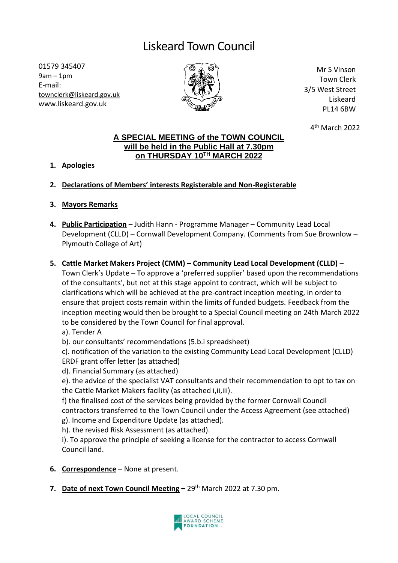## Liskeard Town Council

01579 345407 9am – 1pm E-mail: [townclerk@liskeard.gov.uk](mailto:townclerk@liskeard.gov.uk) www.liskeard.gov.uk



Mr S Vinson Town Clerk 3/5 West Street Liskeard PL14 6BW

4 th March 2022

## **A SPECIAL MEETING of the TOWN COUNCIL will be held in the Public Hall at 7.30pm on THURSDAY 10TH MARCH 2022**

**1. Apologies**

## **2. Declarations of Members' interests Registerable and Non-Registerable**

- **3. Mayors Remarks**
- **4. Public Participation** Judith Hann Programme Manager Community Lead Local Development (CLLD) – Cornwall Development Company. (Comments from Sue Brownlow – Plymouth College of Art)
- **5. Cattle Market Makers Project (CMM) – Community Lead Local Development (CLLD)** Town Clerk's Update – To approve a 'preferred supplier' based upon the recommendations of the consultants', but not at this stage appoint to contract, which will be subject to clarifications which will be achieved at the pre-contract inception meeting, in order to ensure that project costs remain within the limits of funded budgets. Feedback from the inception meeting would then be brought to a Special Council meeting on 24th March 2022 to be considered by the Town Council for final approval.
	- a). Tender A
	- b). our consultants' recommendations (5.b.i spreadsheet)
	- c). notification of the variation to the existing Community Lead Local Development (CLLD) ERDF grant offer letter (as attached)
	- d). Financial Summary (as attached)
	- e). the advice of the specialist VAT consultants and their recommendation to opt to tax on the Cattle Market Makers facility (as attached i,ii,iii).
	- f) the finalised cost of the services being provided by the former Cornwall Council contractors transferred to the Town Council under the Access Agreement (see attached) g). Income and Expenditure Update (as attached).
	- h). the revised Risk Assessment (as attached).

i). To approve the principle of seeking a license for the contractor to access Cornwall Council land.

- **6. Correspondence** None at present.
- **7. Date of next Town Council Meeting –** 29th March 2022 at 7.30 pm.